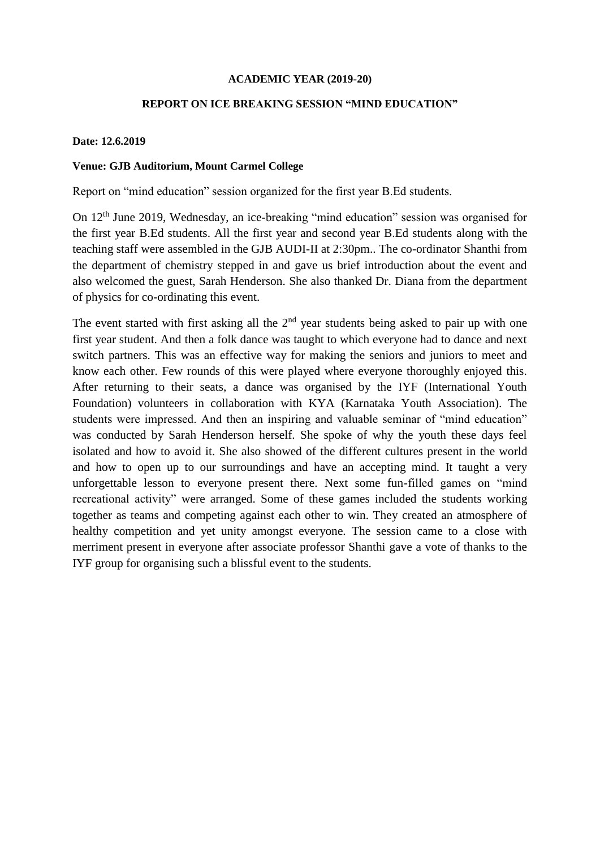## **ACADEMIC YEAR (2019-20)**

## **REPORT ON ICE BREAKING SESSION "MIND EDUCATION"**

## **Date: 12.6.2019**

## **Venue: GJB Auditorium, Mount Carmel College**

Report on "mind education" session organized for the first year B.Ed students.

On 12th June 2019, Wednesday, an ice-breaking "mind education" session was organised for the first year B.Ed students. All the first year and second year B.Ed students along with the teaching staff were assembled in the GJB AUDI-II at 2:30pm.. The co-ordinator Shanthi from the department of chemistry stepped in and gave us brief introduction about the event and also welcomed the guest, Sarah Henderson. She also thanked Dr. Diana from the department of physics for co-ordinating this event.

The event started with first asking all the  $2<sup>nd</sup>$  year students being asked to pair up with one first year student. And then a folk dance was taught to which everyone had to dance and next switch partners. This was an effective way for making the seniors and juniors to meet and know each other. Few rounds of this were played where everyone thoroughly enjoyed this. After returning to their seats, a dance was organised by the IYF (International Youth Foundation) volunteers in collaboration with KYA (Karnataka Youth Association). The students were impressed. And then an inspiring and valuable seminar of "mind education" was conducted by Sarah Henderson herself. She spoke of why the youth these days feel isolated and how to avoid it. She also showed of the different cultures present in the world and how to open up to our surroundings and have an accepting mind. It taught a very unforgettable lesson to everyone present there. Next some fun-filled games on "mind recreational activity" were arranged. Some of these games included the students working together as teams and competing against each other to win. They created an atmosphere of healthy competition and yet unity amongst everyone. The session came to a close with merriment present in everyone after associate professor Shanthi gave a vote of thanks to the IYF group for organising such a blissful event to the students.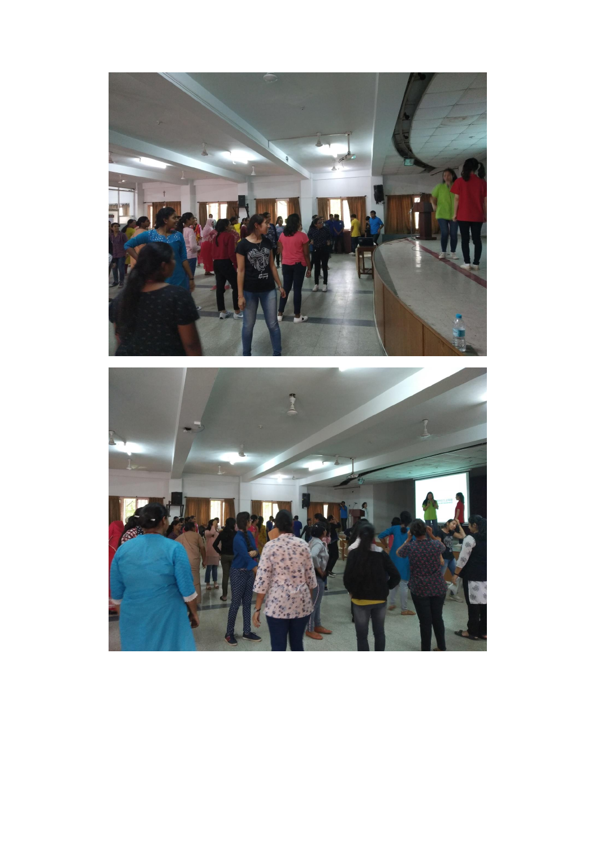

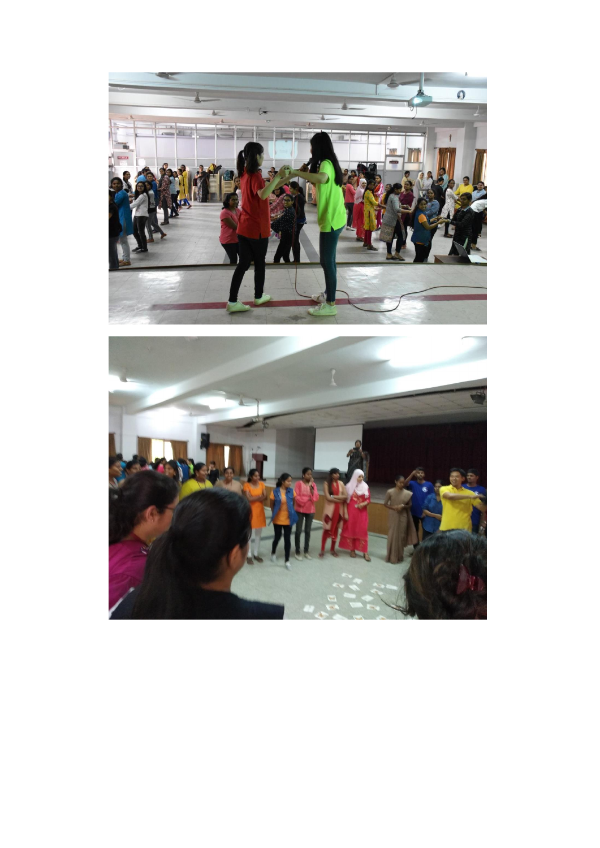